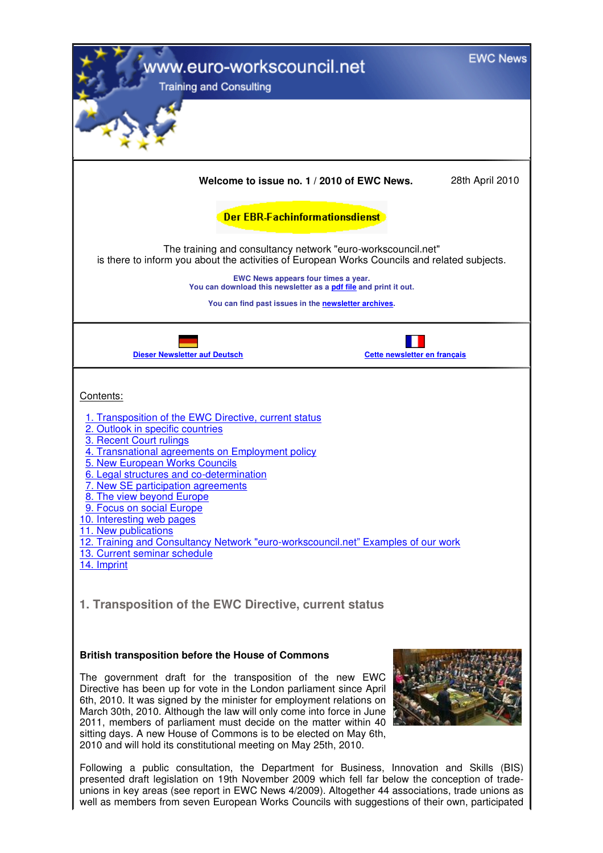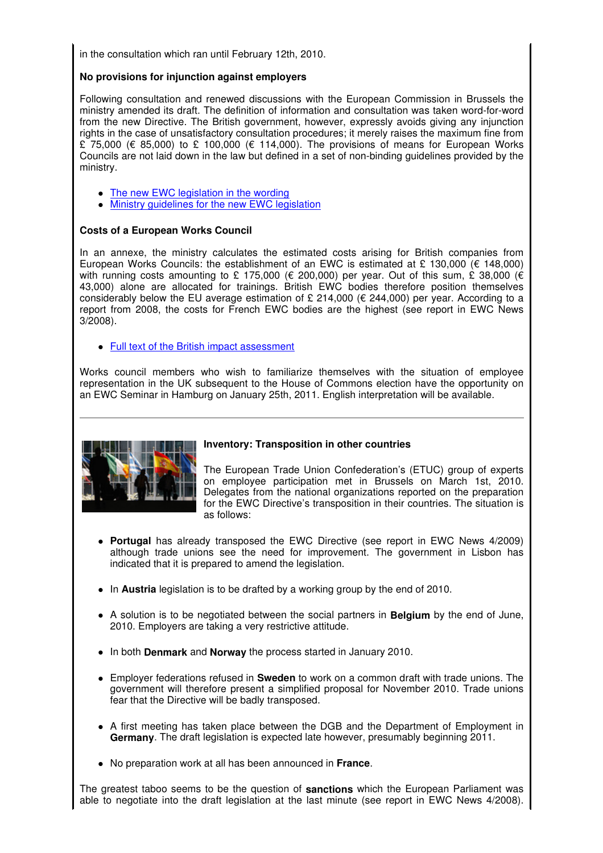in the consultation which ran until February 12th, 2010.

# **No provisions for injunction against employers**

Following consultation and renewed discussions with the European Commission in Brussels the ministry amended its draft. The definition of information and consultation was taken word-for-word from the new Directive. The British government, however, expressly avoids giving any injunction rights in the case of unsatisfactory consultation procedures; it merely raises the maximum fine from £ 75,000 (€ 85,000) to £ 100,000 (€ 114,000). The provisions of means for European Works Councils are not laid down in the law but defined in a set of non-binding guidelines provided by the ministry.

- The new EWC legislation in the wording
- Ministry guidelines for the new EWC legislation

## **Costs of a European Works Council**

In an annexe, the ministry calculates the estimated costs arising for British companies from European Works Councils: the establishment of an EWC is estimated at £ 130,000 ( $\epsilon$  148,000) with running costs amounting to £ 175,000 (€ 200,000) per year. Out of this sum, £ 38,000 (€ 43,000) alone are allocated for trainings. British EWC bodies therefore position themselves considerably below the EU average estimation of £ 214,000 (€ 244,000) per year. According to a report from 2008, the costs for French EWC bodies are the highest (see report in EWC News 3/2008).

• Full text of the British impact assessment

Works council members who wish to familiarize themselves with the situation of employee representation in the UK subsequent to the House of Commons election have the opportunity on an EWC Seminar in Hamburg on January 25th, 2011. English interpretation will be available.



# **Inventory: Transposition in other countries**

The European Trade Union Confederation's (ETUC) group of experts on employee participation met in Brussels on March 1st, 2010. Delegates from the national organizations reported on the preparation for the EWC Directive's transposition in their countries. The situation is as follows:

- **Portugal** has already transposed the EWC Directive (see report in EWC News 4/2009) although trade unions see the need for improvement. The government in Lisbon has indicated that it is prepared to amend the legislation.
- In **Austria** legislation is to be drafted by a working group by the end of 2010.
- A solution is to be negotiated between the social partners in **Belgium** by the end of June, 2010. Employers are taking a very restrictive attitude.
- In both **Denmark** and **Norway** the process started in January 2010.
- Employer federations refused in **Sweden** to work on a common draft with trade unions. The government will therefore present a simplified proposal for November 2010. Trade unions fear that the Directive will be badly transposed.
- A first meeting has taken place between the DGB and the Department of Employment in **Germany**. The draft legislation is expected late however, presumably beginning 2011.
- No preparation work at all has been announced in **France**.

The greatest taboo seems to be the question of **sanctions** which the European Parliament was able to negotiate into the draft legislation at the last minute (see report in EWC News 4/2008).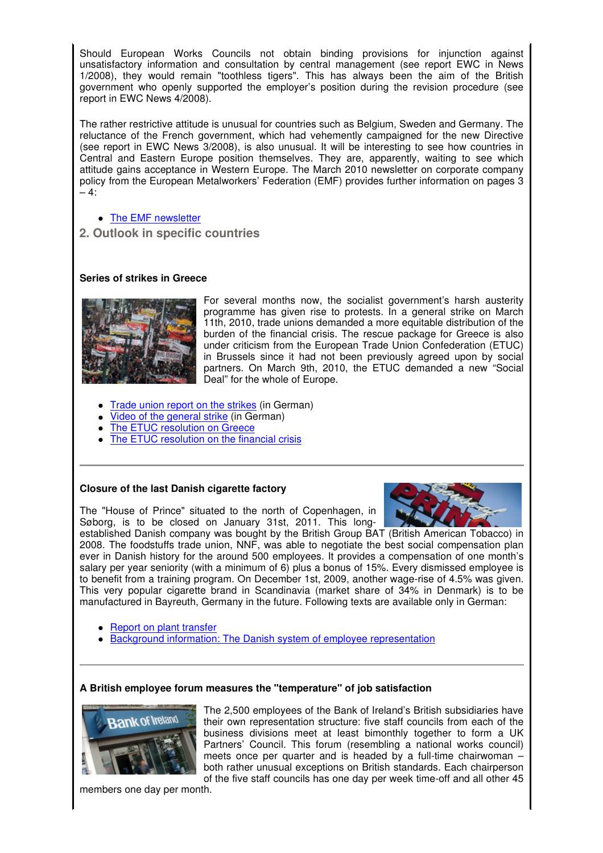Should European Works Councils not obtain binding provisions for injunction against unsatisfactory information and consultation by central management (see report EWC in News 1/2008), they would remain "toothless tigers". This has always been the aim of the British government who openly supported the employer's position during the revision procedure (see report in EWC News 4/2008).

The rather restrictive attitude is unusual for countries such as Belgium, Sweden and Germany. The reluctance of the French government, which had vehemently campaigned for the new Directive (see report in EWC News 3/2008), is also unusual. It will be interesting to see how countries in Central and Eastern Europe position themselves. They are, apparently, waiting to see which attitude gains acceptance in Western Europe. The March 2010 newsletter on corporate company policy from the European Metalworkers' Federation (EMF) provides further information on pages 3  $-4$ :

- The EMF newsletter
- **2. Outlook in specific countries**

## **Series of strikes in Greece**



For several months now, the socialist government's harsh austerity programme has given rise to protests. In a general strike on March 11th, 2010, trade unions demanded a more equitable distribution of the burden of the financial crisis. The rescue package for Greece is also under criticism from the European Trade Union Confederation (ETUC) in Brussels since it had not been previously agreed upon by social partners. On March 9th, 2010, the ETUC demanded a new "Social Deal" for the whole of Europe.

- Trade union report on the strikes (in German)
- Video of the general strike (in German)
- The ETUC resolution on Greece
- The ETUC resolution on the financial crisis

### **Closure of the last Danish cigarette factory**

The "House of Prince" situated to the north of Copenhagen, in Søborg, is to be closed on January 31st, 2011. This long-



established Danish company was bought by the British Group BAT (British American Tobacco) in 2008. The foodstuffs trade union, NNF, was able to negotiate the best social compensation plan ever in Danish history for the around 500 employees. It provides a compensation of one month's salary per year seniority (with a minimum of 6) plus a bonus of 15%. Every dismissed employee is to benefit from a training program. On December 1st, 2009, another wage-rise of 4.5% was given. This very popular cigarette brand in Scandinavia (market share of 34% in Denmark) is to be manufactured in Bayreuth, Germany in the future. Following texts are available only in German:

- Report on plant transfer
- Background information: The Danish system of employee representation

### **A British employee forum measures the "temperature" of job satisfaction**



The 2,500 employees of the Bank of Ireland's British subsidiaries have their own representation structure: five staff councils from each of the business divisions meet at least bimonthly together to form a UK Partners' Council. This forum (resembling a national works council) meets once per quarter and is headed by a full-time chairwoman – both rather unusual exceptions on British standards. Each chairperson of the five staff councils has one day per week time-off and all other 45

members one day per month.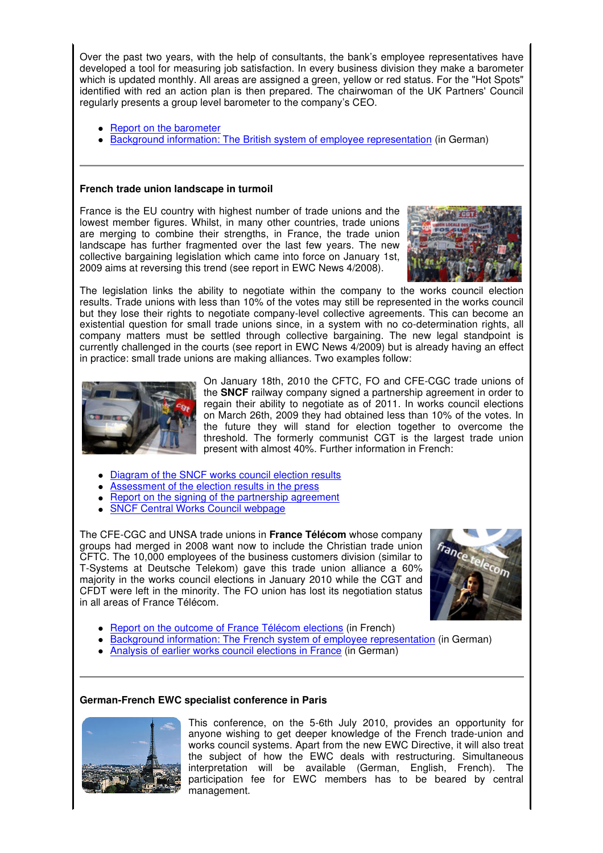Over the past two years, with the help of consultants, the bank's employee representatives have developed a tool for measuring job satisfaction. In every business division they make a barometer which is updated monthly. All areas are assigned a green, yellow or red status. For the "Hot Spots" identified with red an action plan is then prepared. The chairwoman of the UK Partners' Council regularly presents a group level barometer to the company's CEO.

- Report on the barometer
- Background information: The British system of employee representation (in German)

### **French trade union landscape in turmoil**

France is the EU country with highest number of trade unions and the lowest member figures. Whilst, in many other countries, trade unions are merging to combine their strengths, in France, the trade union landscape has further fragmented over the last few years. The new collective bargaining legislation which came into force on January 1st, 2009 aims at reversing this trend (see report in EWC News 4/2008).



The legislation links the ability to negotiate within the company to the works council election results. Trade unions with less than 10% of the votes may still be represented in the works council but they lose their rights to negotiate company-level collective agreements. This can become an existential question for small trade unions since, in a system with no co-determination rights, all company matters must be settled through collective bargaining. The new legal standpoint is currently challenged in the courts (see report in EWC News 4/2009) but is already having an effect in practice: small trade unions are making alliances. Two examples follow:



On January 18th, 2010 the CFTC, FO and CFE-CGC trade unions of the **SNCF** railway company signed a partnership agreement in order to regain their ability to negotiate as of 2011. In works council elections on March 26th, 2009 they had obtained less than 10% of the votes. In the future they will stand for election together to overcome the threshold. The formerly communist CGT is the largest trade union present with almost 40%. Further information in French:

- Diagram of the SNCF works council election results
- Assessment of the election results in the press
- Report on the signing of the partnership agreement
- SNCF Central Works Council webpage

The CFE-CGC and UNSA trade unions in **France Télécom** whose company groups had merged in 2008 want now to include the Christian trade union CFTC. The 10,000 employees of the business customers division (similar to T-Systems at Deutsche Telekom) gave this trade union alliance a 60% majority in the works council elections in January 2010 while the CGT and CFDT were left in the minority. The FO union has lost its negotiation status in all areas of France Télécom.



- Report on the outcome of France Télécom elections (in French)
- Background information: The French system of employee representation (in German)
- Analysis of earlier works council elections in France (in German)

# **German-French EWC specialist conference in Paris**



This conference, on the 5-6th July 2010, provides an opportunity for anyone wishing to get deeper knowledge of the French trade-union and works council systems. Apart from the new EWC Directive, it will also treat the subject of how the EWC deals with restructuring. Simultaneous interpretation will be available (German, English, French). The participation fee for EWC members has to be beared by central management.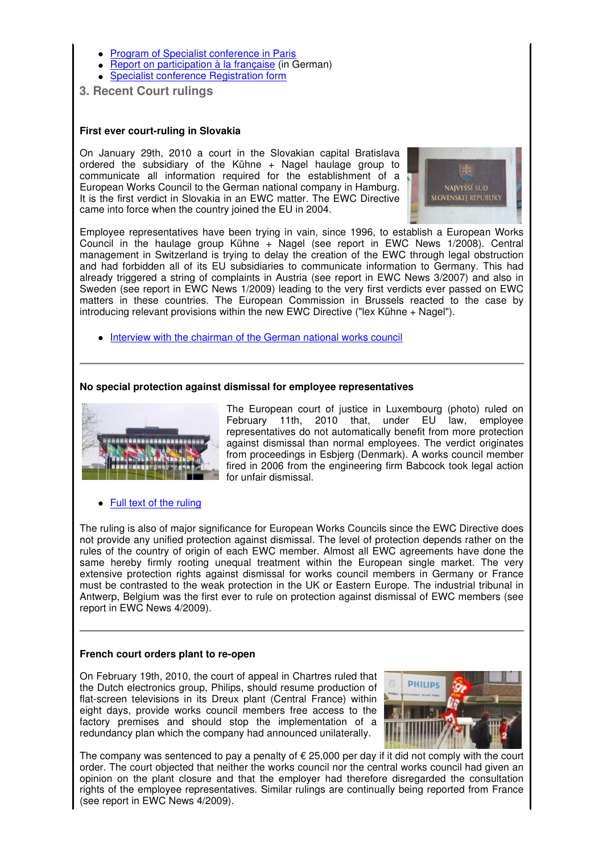- Program of Specialist conference in Paris
- Report on participation à la française (in German)
- Specialist conference Registration form
- **3. Recent Court rulings**

# **First ever court-ruling in Slovakia**

On January 29th, 2010 a court in the Slovakian capital Bratislava ordered the subsidiary of the Kühne + Nagel haulage group to communicate all information required for the establishment of a European Works Council to the German national company in Hamburg. It is the first verdict in Slovakia in an EWC matter. The EWC Directive came into force when the country joined the EU in 2004.



Employee representatives have been trying in vain, since 1996, to establish a European Works Council in the haulage group Kühne + Nagel (see report in EWC News 1/2008). Central management in Switzerland is trying to delay the creation of the EWC through legal obstruction and had forbidden all of its EU subsidiaries to communicate information to Germany. This had already triggered a string of complaints in Austria (see report in EWC News 3/2007) and also in Sweden (see report in EWC News 1/2009) leading to the very first verdicts ever passed on EWC matters in these countries. The European Commission in Brussels reacted to the case by introducing relevant provisions within the new EWC Directive ("lex Kühne + Nagel").

• Interview with the chairman of the German national works council

### **No special protection against dismissal for employee representatives**



The European court of justice in Luxembourg (photo) ruled on February 11th, 2010 that, under EU law, employee representatives do not automatically benefit from more protection against dismissal than normal employees. The verdict originates from proceedings in Esbjerg (Denmark). A works council member fired in 2006 from the engineering firm Babcock took legal action for unfair dismissal.

• Full text of the ruling

The ruling is also of major significance for European Works Councils since the EWC Directive does not provide any unified protection against dismissal. The level of protection depends rather on the rules of the country of origin of each EWC member. Almost all EWC agreements have done the same hereby firmly rooting unequal treatment within the European single market. The very extensive protection rights against dismissal for works council members in Germany or France must be contrasted to the weak protection in the UK or Eastern Europe. The industrial tribunal in Antwerp, Belgium was the first ever to rule on protection against dismissal of EWC members (see report in EWC News 4/2009).

### **French court orders plant to re-open**

On February 19th, 2010, the court of appeal in Chartres ruled that the Dutch electronics group, Philips, should resume production of flat-screen televisions in its Dreux plant (Central France) within eight days, provide works council members free access to the factory premises and should stop the implementation of a redundancy plan which the company had announced unilaterally.



The company was sentenced to pay a penalty of  $\epsilon$  25,000 per day if it did not comply with the court order. The court objected that neither the works council nor the central works council had given an opinion on the plant closure and that the employer had therefore disregarded the consultation rights of the employee representatives. Similar rulings are continually being reported from France (see report in EWC News 4/2009).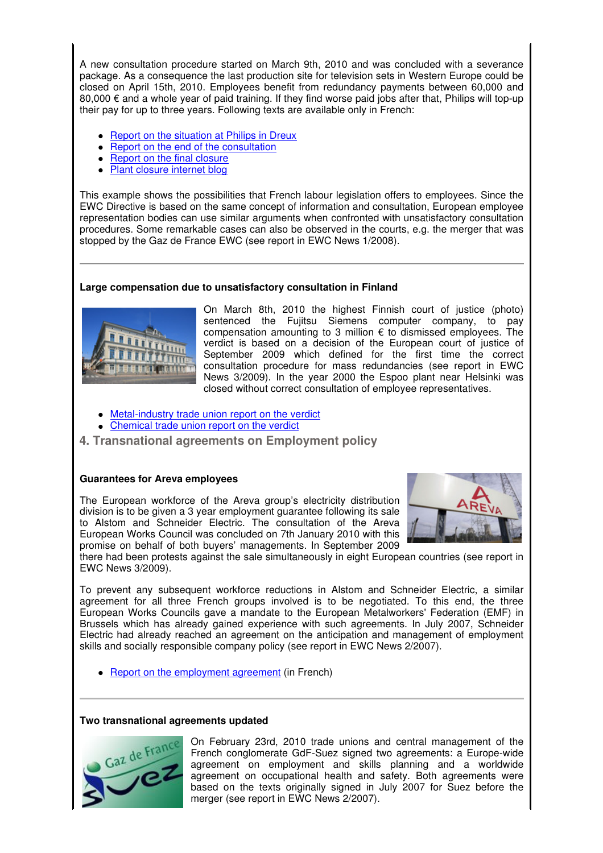A new consultation procedure started on March 9th, 2010 and was concluded with a severance package. As a consequence the last production site for television sets in Western Europe could be closed on April 15th, 2010. Employees benefit from redundancy payments between 60,000 and 80,000  $\epsilon$  and a whole year of paid training. If they find worse paid jobs after that, Philips will top-up their pay for up to three years. Following texts are available only in French:

- Report on the situation at Philips in Dreux
- Report on the end of the consultation
- Report on the final closure
- Plant closure internet blog

This example shows the possibilities that French labour legislation offers to employees. Since the EWC Directive is based on the same concept of information and consultation, European employee representation bodies can use similar arguments when confronted with unsatisfactory consultation procedures. Some remarkable cases can also be observed in the courts, e.g. the merger that was stopped by the Gaz de France EWC (see report in EWC News 1/2008).

## **Large compensation due to unsatisfactory consultation in Finland**



On March 8th, 2010 the highest Finnish court of justice (photo) sentenced the Fujitsu Siemens computer company, to pay compensation amounting to 3 million € to dismissed employees. The verdict is based on a decision of the European court of justice of September 2009 which defined for the first time the correct consultation procedure for mass redundancies (see report in EWC News 3/2009). In the year 2000 the Espoo plant near Helsinki was closed without correct consultation of employee representatives.

- Metal-industry trade union report on the verdict
- Chemical trade union report on the verdict
- **4. Transnational agreements on Employment policy**

### **Guarantees for Areva employees**

The European workforce of the Areva group's electricity distribution division is to be given a 3 year employment guarantee following its sale to Alstom and Schneider Electric. The consultation of the Areva European Works Council was concluded on 7th January 2010 with this promise on behalf of both buyers' managements. In September 2009



there had been protests against the sale simultaneously in eight European countries (see report in EWC News 3/2009).

To prevent any subsequent workforce reductions in Alstom and Schneider Electric, a similar agreement for all three French groups involved is to be negotiated. To this end, the three European Works Councils gave a mandate to the European Metalworkers' Federation (EMF) in Brussels which has already gained experience with such agreements. In July 2007, Schneider Electric had already reached an agreement on the anticipation and management of employment skills and socially responsible company policy (see report in EWC News 2/2007).

• Report on the employment agreement (in French)

### **Two transnational agreements updated**



On February 23rd, 2010 trade unions and central management of the French conglomerate GdF-Suez signed two agreements: a Europe-wide agreement on employment and skills planning and a worldwide agreement on occupational health and safety. Both agreements were based on the texts originally signed in July 2007 for Suez before the merger (see report in EWC News 2/2007).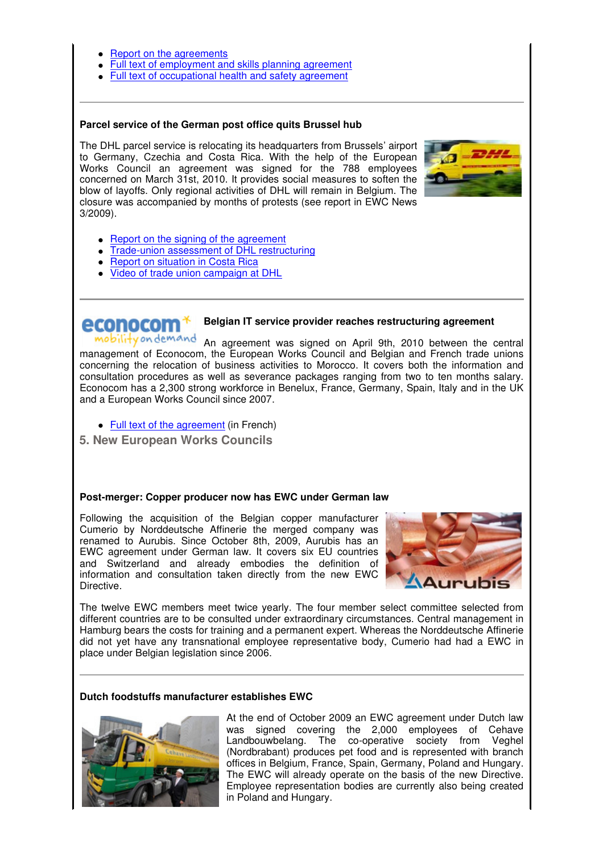- Report on the agreements
- Full text of employment and skills planning agreement
- Full text of occupational health and safety agreement

### **Parcel service of the German post office quits Brussel hub**

The DHL parcel service is relocating its headquarters from Brussels' airport to Germany, Czechia and Costa Rica. With the help of the European Works Council an agreement was signed for the 788 employees concerned on March 31st, 2010. It provides social measures to soften the blow of layoffs. Only regional activities of DHL will remain in Belgium. The closure was accompanied by months of protests (see report in EWC News 3/2009).



- Report on the signing of the agreement
- Trade-union assessment of DHL restructuring
- Report on situation in Costa Rica
- Video of trade union campaign at DHL

# **Belgian IT service provider reaches restructuring agreement**

mobility on demand An agreement was signed on April 9th, 2010 between the central management of Econocom, the European Works Council and Belgian and French trade unions concerning the relocation of business activities to Morocco. It covers both the information and consultation procedures as well as severance packages ranging from two to ten months salary. Econocom has a 2,300 strong workforce in Benelux, France, Germany, Spain, Italy and in the UK and a European Works Council since 2007.

- Full text of the agreement (in French)
- **5. New European Works Councils**

### **Post-merger: Copper producer now has EWC under German law**

Following the acquisition of the Belgian copper manufacturer Cumerio by Norddeutsche Affinerie the merged company was renamed to Aurubis. Since October 8th, 2009, Aurubis has an EWC agreement under German law. It covers six EU countries and Switzerland and already embodies the definition of information and consultation taken directly from the new EWC Directive.



The twelve EWC members meet twice yearly. The four member select committee selected from different countries are to be consulted under extraordinary circumstances. Central management in Hamburg bears the costs for training and a permanent expert. Whereas the Norddeutsche Affinerie did not yet have any transnational employee representative body, Cumerio had had a EWC in place under Belgian legislation since 2006.

### **Dutch foodstuffs manufacturer establishes EWC**



At the end of October 2009 an EWC agreement under Dutch law was signed covering the 2,000 employees of Cehave Landbouwbelang. The co-operative society from Veghel (Nordbrabant) produces pet food and is represented with branch offices in Belgium, France, Spain, Germany, Poland and Hungary. The EWC will already operate on the basis of the new Directive. Employee representation bodies are currently also being created in Poland and Hungary.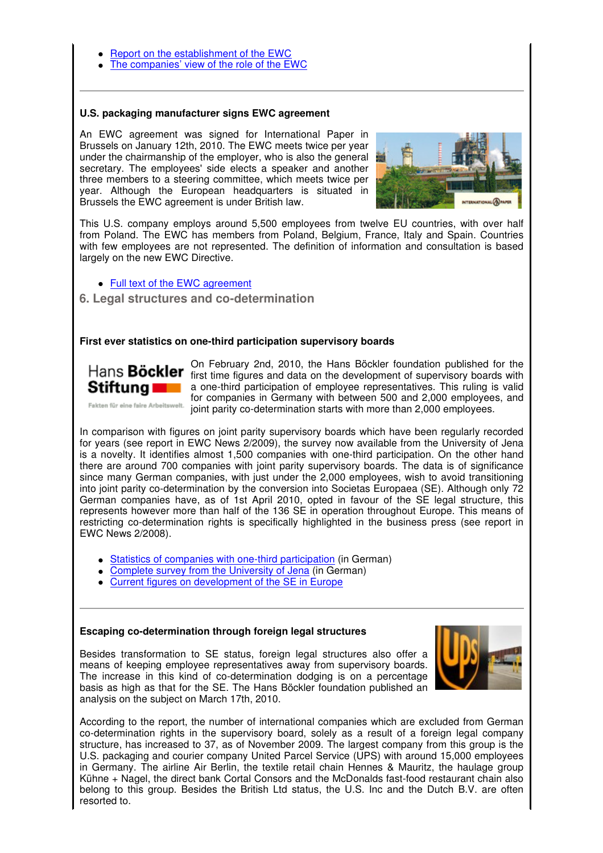- Report on the establishment of the EWC
- The companies' view of the role of the EWC

#### **U.S. packaging manufacturer signs EWC agreement**

An EWC agreement was signed for International Paper in Brussels on January 12th, 2010. The EWC meets twice per year under the chairmanship of the employer, who is also the general secretary. The employees' side elects a speaker and another three members to a steering committee, which meets twice per year. Although the European headquarters is situated in Brussels the EWC agreement is under British law.



This U.S. company employs around 5,500 employees from twelve EU countries, with over half from Poland. The EWC has members from Poland, Belgium, France, Italy and Spain. Countries with few employees are not represented. The definition of information and consultation is based largely on the new EWC Directive.

## • Full text of the EWC agreement

 **6. Legal structures and co-determination**

### **First ever statistics on one-third participation supervisory boards**



EWC News 2/2008).

On February 2nd, 2010, the Hans Böckler foundation published for the Hans **Böckler** first time figures and data on the development of supervisory boards with a one-third participation of employee representatives. This ruling is valid for companies in Germany with between 500 and 2,000 employees, and Fakten für eine faire Arbeitswelt. joint parity co-determination starts with more than 2,000 employees.

In comparison with figures on joint parity supervisory boards which have been regularly recorded for years (see report in EWC News 2/2009), the survey now available from the University of Jena is a novelty. It identifies almost 1,500 companies with one-third participation. On the other hand there are around 700 companies with joint parity supervisory boards. The data is of significance since many German companies, with just under the 2,000 employees, wish to avoid transitioning into joint parity co-determination by the conversion into Societas Europaea (SE). Although only 72 German companies have, as of 1st April 2010, opted in favour of the SE legal structure, this represents however more than half of the 136 SE in operation throughout Europe. This means of restricting co-determination rights is specifically highlighted in the business press (see report in

- Statistics of companies with one-third participation (in German)
- Complete survey from the University of Jena (in German)
- Current figures on development of the SE in Europe

### **Escaping co-determination through foreign legal structures**

Besides transformation to SE status, foreign legal structures also offer a means of keeping employee representatives away from supervisory boards. The increase in this kind of co-determination dodging is on a percentage basis as high as that for the SE. The Hans Böckler foundation published an analysis on the subject on March 17th, 2010.



According to the report, the number of international companies which are excluded from German co-determination rights in the supervisory board, solely as a result of a foreign legal company structure, has increased to 37, as of November 2009. The largest company from this group is the U.S. packaging and courier company United Parcel Service (UPS) with around 15,000 employees in Germany. The airline Air Berlin, the textile retail chain Hennes & Mauritz, the haulage group Kühne + Nagel, the direct bank Cortal Consors and the McDonalds fast-food restaurant chain also belong to this group. Besides the British Ltd status, the U.S. Inc and the Dutch B.V. are often resorted to.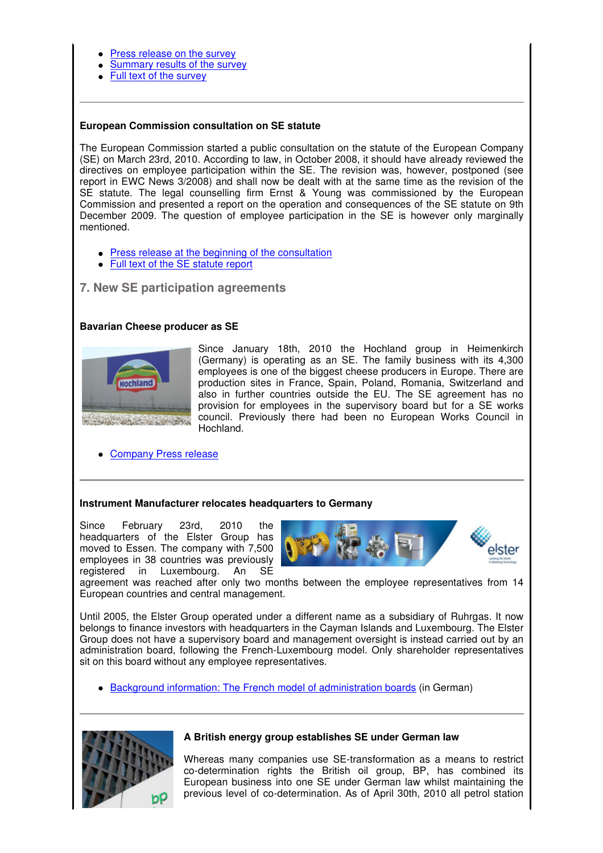- Press release on the survey
- Summary results of the survey
- Full text of the survey

# **European Commission consultation on SE statute**

The European Commission started a public consultation on the statute of the European Company (SE) on March 23rd, 2010. According to law, in October 2008, it should have already reviewed the directives on employee participation within the SE. The revision was, however, postponed (see report in EWC News 3/2008) and shall now be dealt with at the same time as the revision of the SE statute. The legal counselling firm Ernst & Young was commissioned by the European Commission and presented a report on the operation and consequences of the SE statute on 9th December 2009. The question of employee participation in the SE is however only marginally mentioned.

- Press release at the beginning of the consultation
- Full text of the SE statute report

# **7. New SE participation agreements**

## **Bavarian Cheese producer as SE**



Since January 18th, 2010 the Hochland group in Heimenkirch (Germany) is operating as an SE. The family business with its 4,300 employees is one of the biggest cheese producers in Europe. There are production sites in France, Spain, Poland, Romania, Switzerland and also in further countries outside the EU. The SE agreement has no provision for employees in the supervisory board but for a SE works council. Previously there had been no European Works Council in Hochland.

Company Press release

### **Instrument Manufacturer relocates headquarters to Germany**

Since February 23rd, 2010 the headquarters of the Elster Group has moved to Essen. The company with 7,500 employees in 38 countries was previously registered in Luxembourg. An SE



agreement was reached after only two months between the employee representatives from 14 European countries and central management.

Until 2005, the Elster Group operated under a different name as a subsidiary of Ruhrgas. It now belongs to finance investors with headquarters in the Cayman Islands and Luxembourg. The Elster Group does not have a supervisory board and management oversight is instead carried out by an administration board, following the French-Luxembourg model. Only shareholder representatives sit on this board without any employee representatives.

Background information: The French model of administration boards (in German)



### **A British energy group establishes SE under German law**

Whereas many companies use SE-transformation as a means to restrict co-determination rights the British oil group, BP, has combined its European business into one SE under German law whilst maintaining the previous level of co-determination. As of April 30th, 2010 all petrol station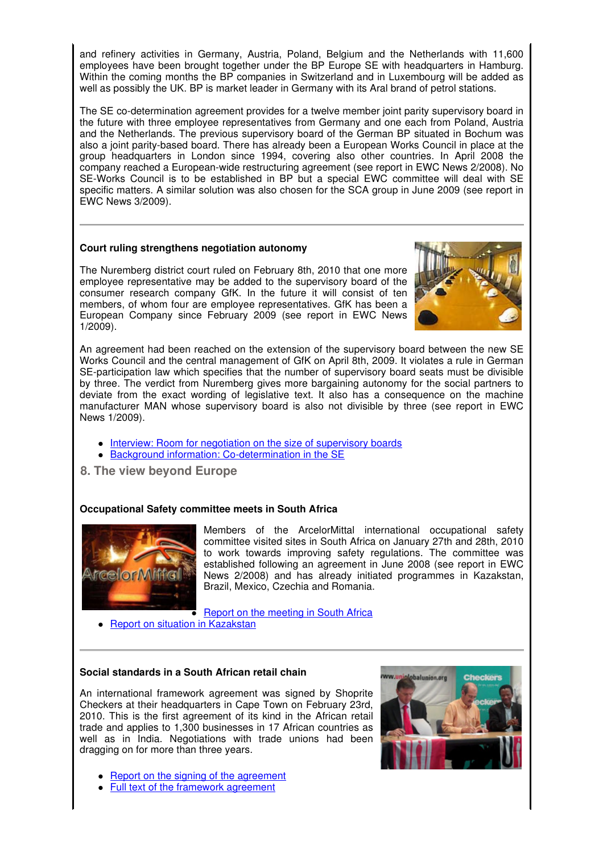and refinery activities in Germany, Austria, Poland, Belgium and the Netherlands with 11,600 employees have been brought together under the BP Europe SE with headquarters in Hamburg. Within the coming months the BP companies in Switzerland and in Luxembourg will be added as well as possibly the UK. BP is market leader in Germany with its Aral brand of petrol stations.

The SE co-determination agreement provides for a twelve member joint parity supervisory board in the future with three employee representatives from Germany and one each from Poland, Austria and the Netherlands. The previous supervisory board of the German BP situated in Bochum was also a joint parity-based board. There has already been a European Works Council in place at the group headquarters in London since 1994, covering also other countries. In April 2008 the company reached a European-wide restructuring agreement (see report in EWC News 2/2008). No SE-Works Council is to be established in BP but a special EWC committee will deal with SE specific matters. A similar solution was also chosen for the SCA group in June 2009 (see report in EWC News 3/2009).

# **Court ruling strengthens negotiation autonomy**

The Nuremberg district court ruled on February 8th, 2010 that one more employee representative may be added to the supervisory board of the consumer research company GfK. In the future it will consist of ten members, of whom four are employee representatives. GfK has been a European Company since February 2009 (see report in EWC News 1/2009).



An agreement had been reached on the extension of the supervisory board between the new SE Works Council and the central management of GfK on April 8th, 2009. It violates a rule in German SE-participation law which specifies that the number of supervisory board seats must be divisible by three. The verdict from Nuremberg gives more bargaining autonomy for the social partners to deviate from the exact wording of legislative text. It also has a consequence on the machine manufacturer MAN whose supervisory board is also not divisible by three (see report in EWC News 1/2009).

- Interview: Room for negotiation on the size of supervisory boards
- Background information: Co-determination in the SE
- **8. The view beyond Europe**

# **Occupational Safety committee meets in South Africa**



Members of the ArcelorMittal international occupational safety committee visited sites in South Africa on January 27th and 28th, 2010 to work towards improving safety regulations. The committee was established following an agreement in June 2008 (see report in EWC News 2/2008) and has already initiated programmes in Kazakstan, Brazil, Mexico, Czechia and Romania.

**Report on the meeting in South Africa** 

• Report on situation in Kazakstan

# **Social standards in a South African retail chain**

An international framework agreement was signed by Shoprite Checkers at their headquarters in Cape Town on February 23rd, 2010. This is the first agreement of its kind in the African retail trade and applies to 1,300 businesses in 17 African countries as well as in India. Negotiations with trade unions had been dragging on for more than three years.

- Report on the signing of the agreement
- Full text of the framework agreement

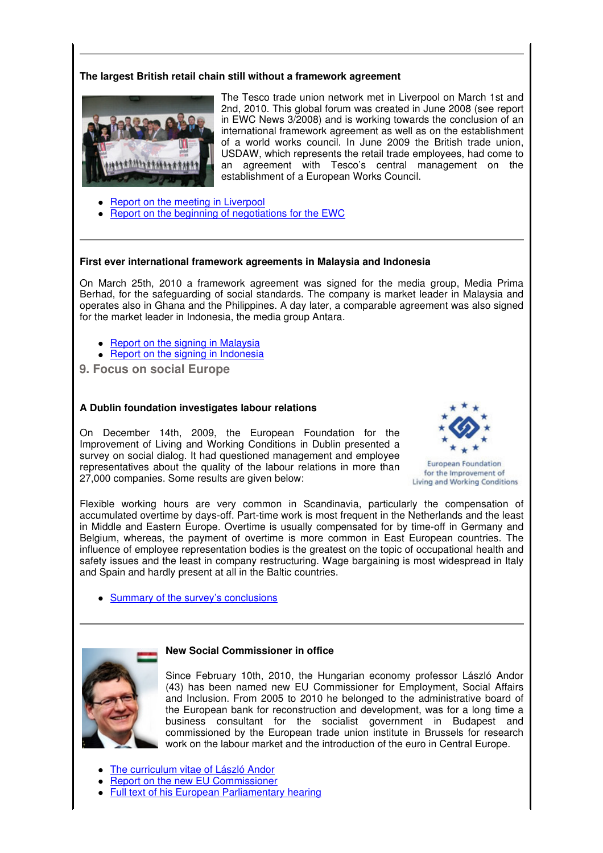# **The largest British retail chain still without a framework agreement**



The Tesco trade union network met in Liverpool on March 1st and 2nd, 2010. This global forum was created in June 2008 (see report in EWC News 3/2008) and is working towards the conclusion of an international framework agreement as well as on the establishment of a world works council. In June 2009 the British trade union, USDAW, which represents the retail trade employees, had come to an agreement with Tesco's central management on the establishment of a European Works Council.

- Report on the meeting in Liverpool
- Report on the beginning of negotiations for the EWC

#### **First ever international framework agreements in Malaysia and Indonesia**

On March 25th, 2010 a framework agreement was signed for the media group, Media Prima Berhad, for the safeguarding of social standards. The company is market leader in Malaysia and operates also in Ghana and the Philippines. A day later, a comparable agreement was also signed for the market leader in Indonesia, the media group Antara.

- Report on the signing in Malaysia
- Report on the signing in Indonesia
- **9. Focus on social Europe**

#### **A Dublin foundation investigates labour relations**

On December 14th, 2009, the European Foundation for the Improvement of Living and Working Conditions in Dublin presented a survey on social dialog. It had questioned management and employee representatives about the quality of the labour relations in more than 27,000 companies. Some results are given below:



**European Foundation** for the Improvement of Living and Working Conditions

Flexible working hours are very common in Scandinavia, particularly the compensation of accumulated overtime by days-off. Part-time work is most frequent in the Netherlands and the least in Middle and Eastern Europe. Overtime is usually compensated for by time-off in Germany and Belgium, whereas, the payment of overtime is more common in East European countries. The influence of employee representation bodies is the greatest on the topic of occupational health and safety issues and the least in company restructuring. Wage bargaining is most widespread in Italy and Spain and hardly present at all in the Baltic countries.

• Summary of the survey's conclusions



Since February 10th, 2010, the Hungarian economy professor László Andor (43) has been named new EU Commissioner for Employment, Social Affairs and Inclusion. From 2005 to 2010 he belonged to the administrative board of the European bank for reconstruction and development, was for a long time a business consultant for the socialist government in Budapest and commissioned by the European trade union institute in Brussels for research work on the labour market and the introduction of the euro in Central Europe.

- The curriculum vitae of László Andor
- Report on the new EU Commissioner
- Full text of his European Parliamentary hearing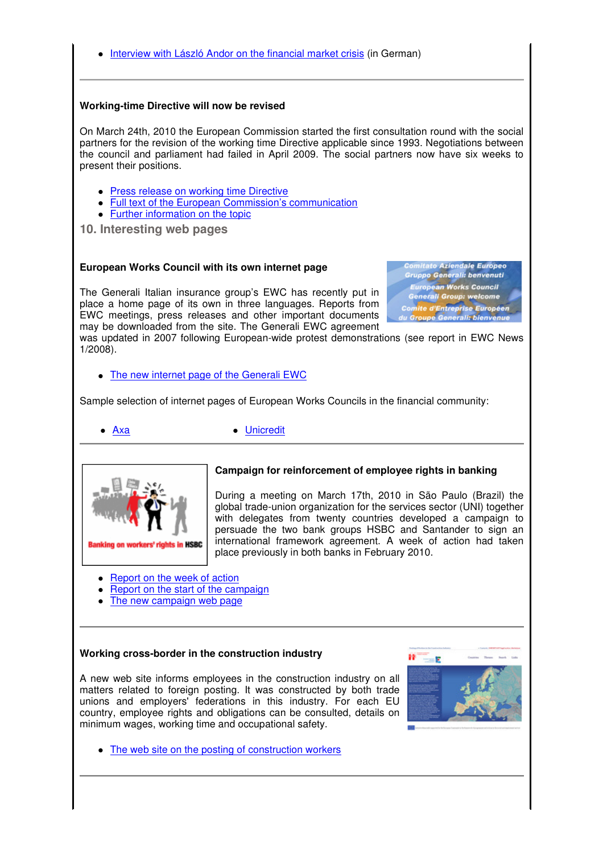Interview with László Andor on the financial market crisis (in German)

## **Working-time Directive will now be revised**

On March 24th, 2010 the European Commission started the first consultation round with the social partners for the revision of the working time Directive applicable since 1993. Negotiations between the council and parliament had failed in April 2009. The social partners now have six weeks to present their positions.

- **Press release on working time Directive**
- Full text of the European Commission's communication
- Further information on the topic

**10. Interesting web pages**

# **European Works Council with its own internet page**

The Generali Italian insurance group's EWC has recently put in place a home page of its own in three languages. Reports from EWC meetings, press releases and other important documents may be downloaded from the site. The Generali EWC agreement

itato Aziendale Europeo **Gruppo Generali: benvenuti** European Works Council Generali Group: welcome **Comite d'Entreprise Européen<br>du Groupe Generali: bienvenue** 

was updated in 2007 following European-wide protest demonstrations (see report in EWC News 1/2008).

The new internet page of the Generali EWC

Sample selection of internet pages of European Works Councils in the financial community:



Axa Unicredit



# **Campaign for reinforcement of employee rights in banking**

During a meeting on March 17th, 2010 in São Paulo (Brazil) the global trade-union organization for the services sector (UNI) together with delegates from twenty countries developed a campaign to persuade the two bank groups HSBC and Santander to sign an international framework agreement. A week of action had taken place previously in both banks in February 2010.

- Report on the week of action
- Report on the start of the campaign
- The new campaign web page

### **Working cross-border in the construction industry**

A new web site informs employees in the construction industry on all matters related to foreign posting. It was constructed by both trade unions and employers' federations in this industry. For each EU country, employee rights and obligations can be consulted, details on minimum wages, working time and occupational safety.



• The web site on the posting of construction workers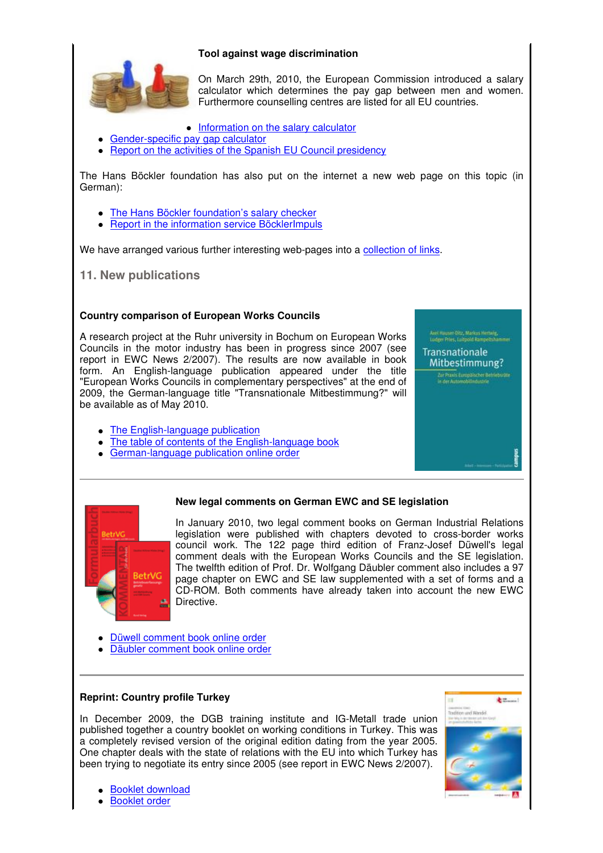# **Tool against wage discrimination**



On March 29th, 2010, the European Commission introduced a salary calculator which determines the pay gap between men and women. Furthermore counselling centres are listed for all EU countries.

- Information on the salary calculator
- Gender-specific pay gap calculator
- Report on the activities of the Spanish EU Council presidency

The Hans Böckler foundation has also put on the internet a new web page on this topic (in German):

- The Hans Böckler foundation's salary checker
- Report in the information service BöcklerImpuls

We have arranged various further interesting web-pages into a collection of links.

**11. New publications**

# **Country comparison of European Works Councils**

A research project at the Ruhr university in Bochum on European Works Councils in the motor industry has been in progress since 2007 (see report in EWC News 2/2007). The results are now available in book form. An English-language publication appeared under the title "European Works Councils in complementary perspectives" at the end of 2009, the German-language title "Transnationale Mitbestimmung?" will be available as of May 2010.

- The English-language publication
- The table of contents of the English-language book
- German-language publication online order

# **New legal comments on German EWC and SE legislation**



In January 2010, two legal comment books on German Industrial Relations legislation were published with chapters devoted to cross-border works council work. The 122 page third edition of Franz-Josef Düwell's legal comment deals with the European Works Councils and the SE legislation. The twelfth edition of Prof. Dr. Wolfgang Däubler comment also includes a 97 page chapter on EWC and SE law supplemented with a set of forms and a CD-ROM. Both comments have already taken into account the new EWC Directive.

- Düwell comment book online order
- Däubler comment book online order

# **Reprint: Country profile Turkey**

In December 2009, the DGB training institute and IG-Metall trade union published together a country booklet on working conditions in Turkey. This was a completely revised version of the original edition dating from the year 2005. One chapter deals with the state of relations with the EU into which Turkey has been trying to negotiate its entry since 2005 (see report in EWC News 2/2007).



And Hauser-Oltz, Markus Hertwig,<br>Ludeer Pries, Luitpoid Rampeltsha **Transnationale** Mitbestimmung?

- Booklet download
- Booklet order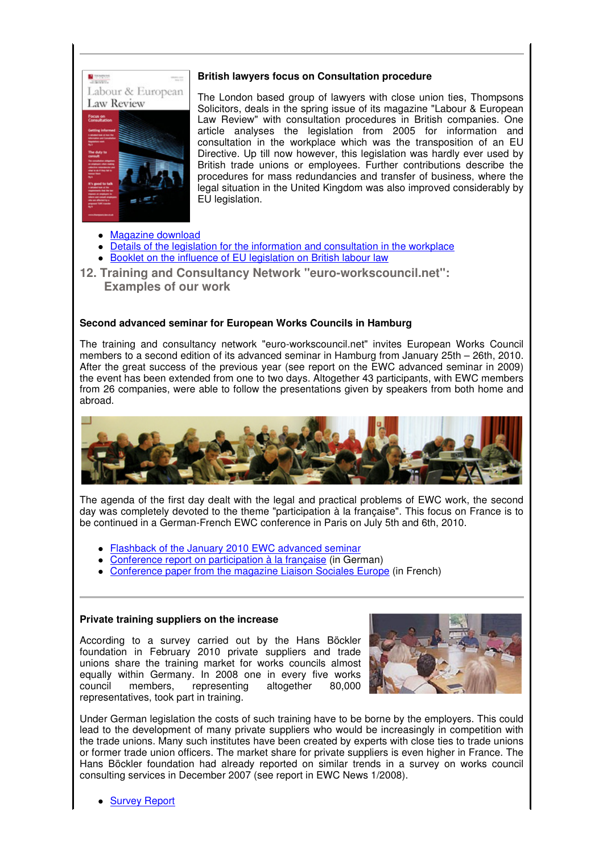

# **British lawyers focus on Consultation procedure**

The London based group of lawyers with close union ties, Thompsons Solicitors, deals in the spring issue of its magazine "Labour & European Law Review" with consultation procedures in British companies. One article analyses the legislation from 2005 for information and consultation in the workplace which was the transposition of an EU Directive. Up till now however, this legislation was hardly ever used by British trade unions or employees. Further contributions describe the procedures for mass redundancies and transfer of business, where the legal situation in the United Kingdom was also improved considerably by EU legislation.

- Magazine download
- Details of the legislation for the information and consultation in the workplace
- Booklet on the influence of EU legislation on British labour law
- **12. Training and Consultancy Network "euro-workscouncil.net": Examples of our work**

# **Second advanced seminar for European Works Councils in Hamburg**

The training and consultancy network "euro-workscouncil.net" invites European Works Council members to a second edition of its advanced seminar in Hamburg from January 25th – 26th, 2010. After the great success of the previous year (see report on the EWC advanced seminar in 2009) the event has been extended from one to two days. Altogether 43 participants, with EWC members from 26 companies, were able to follow the presentations given by speakers from both home and abroad.



The agenda of the first day dealt with the legal and practical problems of EWC work, the second day was completely devoted to the theme "participation à la française". This focus on France is to be continued in a German-French EWC conference in Paris on July 5th and 6th, 2010.

- Flashback of the January 2010 EWC advanced seminar
- Conference report on participation à la française (in German)
- Conference paper from the magazine Liaison Sociales Europe (in French)

### **Private training suppliers on the increase**

According to a survey carried out by the Hans Böckler foundation in February 2010 private suppliers and trade unions share the training market for works councils almost equally within Germany. In 2008 one in every five works council members, representing altogether 80,000 representatives, took part in training.



Under German legislation the costs of such training have to be borne by the employers. This could lead to the development of many private suppliers who would be increasingly in competition with the trade unions. Many such institutes have been created by experts with close ties to trade unions or former trade union officers. The market share for private suppliers is even higher in France. The Hans Böckler foundation had already reported on similar trends in a survey on works council consulting services in December 2007 (see report in EWC News 1/2008).

• Survey Report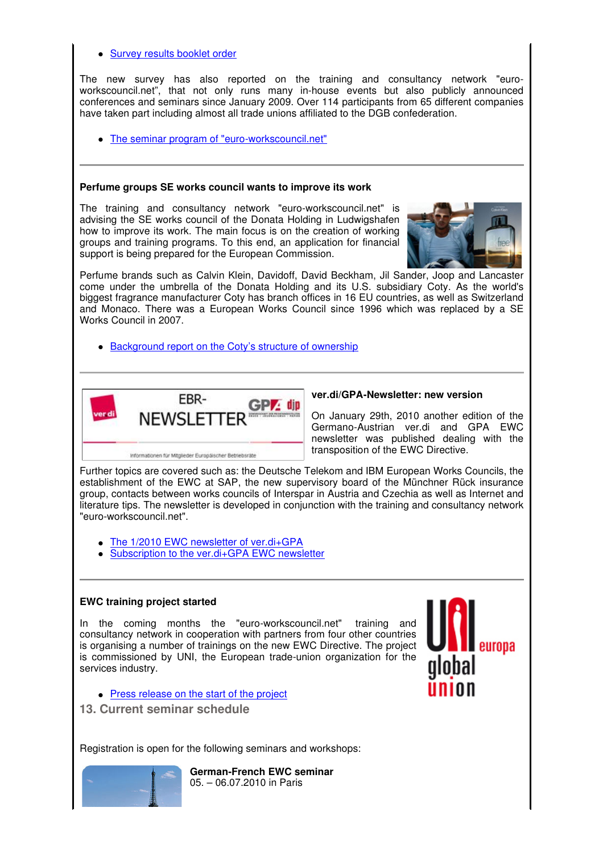- Survey results booklet order The new survey has also reported on the training and consultancy network "euroworkscouncil.net", that not only runs many in-house events but also publicly announced conferences and seminars since January 2009. Over 114 participants from 65 different companies have taken part including almost all trade unions affiliated to the DGB confederation. The seminar program of "euro-workscouncil.net" **Perfume groups SE works council wants to improve its work** The training and consultancy network "euro-workscouncil.net" is advising the SE works council of the Donata Holding in Ludwigshafen how to improve its work. The main focus is on the creation of working groups and training programs. To this end, an application for financial support is being prepared for the European Commission. Perfume brands such as Calvin Klein, Davidoff, David Beckham, Jil Sander, Joop and Lancaster come under the umbrella of the Donata Holding and its U.S. subsidiary Coty. As the world's biggest fragrance manufacturer Coty has branch offices in 16 EU countries, as well as Switzerland and Monaco. There was a European Works Council since 1996 which was replaced by a SE Works Council in 2007. • Background report on the Coty's structure of ownership **ver.di/GPA-Newsletter: new version** FRR- $GPZ$  din **NEWSLETTER** On January 29th, 2010 another edition of the Germano-Austrian ver.di and GPA EWC newsletter was published dealing with the transposition of the EWC Directive. Informationen für Mitglieder Europäischer Betriebsräte Further topics are covered such as: the Deutsche Telekom and IBM European Works Councils, the establishment of the EWC at SAP, the new supervisory board of the Münchner Rück insurance group, contacts between works councils of Interspar in Austria and Czechia as well as Internet and literature tips. The newsletter is developed in conjunction with the training and consultancy network "euro-workscouncil.net". • The 1/2010 EWC newsletter of ver.di+GPA Subscription to the ver.di+GPA EWC newsletter **EWC training project started** In the coming months the "euro-workscouncil.net" training and consultancy network in cooperation with partners from four other countries is organising a number of trainings on the new EWC Directive. The project is commissioned by UNI, the European trade-union organization for the services industry.
	- Press release on the start of the project
	- **13. Current seminar schedule**

Registration is open for the following seminars and workshops:



**German-French EWC seminar** 05. – 06.07.2010 in Paris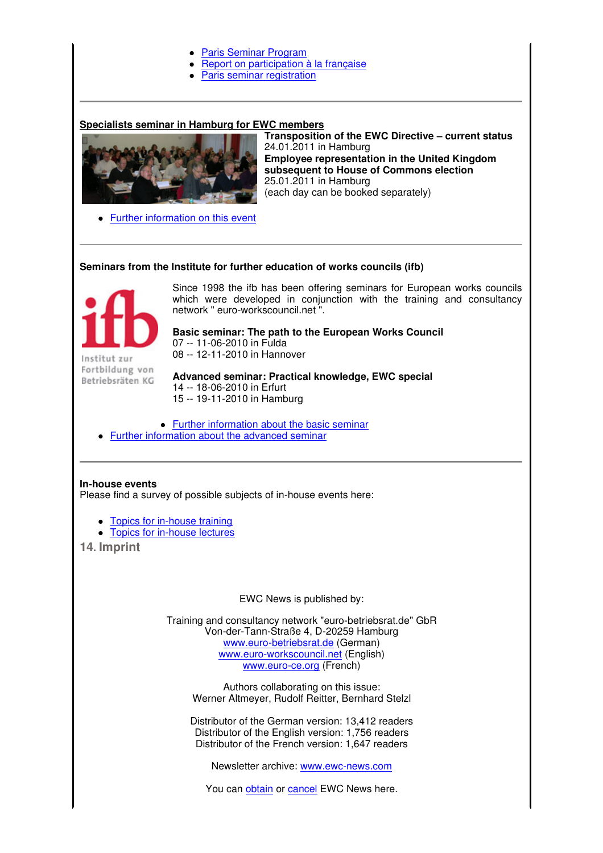### Paris Seminar Program

- Report on participation à la française
- Paris seminar registration

### **Specialists seminar in Hamburg for EWC members**



24.01.2011 in Hamburg **Employee representation in the United Kingdom subsequent to House of Commons election** 25.01.2011 in Hamburg (each day can be booked separately)

**Transposition of the EWC Directive – current status**

• Further information on this event

### **Seminars from the Institute for further education of works councils (ifb)**



Institut zur Fortbildung von Betriebsräten KG

Since 1998 the ifb has been offering seminars for European works councils which were developed in conjunction with the training and consultancy network " euro-workscouncil.net ".

**Basic seminar: The path to the European Works Council** 07 -- 11-06-2010 in Fulda 08 -- 12-11-2010 in Hannover

**Advanced seminar: Practical knowledge, EWC special** 14 -- 18-06-2010 in Erfurt 15 -- 19-11-2010 in Hamburg

- Further information about the basic seminar
- Further information about the advanced seminar

### **In-house events**

Please find a survey of possible subjects of in-house events here:

- Topics for in-house training
- **Topics for in-house lectures**

**14. Imprint**

EWC News is published by:

Training and consultancy network "euro-betriebsrat.de" GbR Von-der-Tann-Straße 4, D-20259 Hamburg www.euro-betriebsrat.de (German) www.euro-workscouncil.net (English) www.euro-ce.org (French)

Authors collaborating on this issue: Werner Altmeyer, Rudolf Reitter, Bernhard Stelzl

Distributor of the German version: 13,412 readers Distributor of the English version: 1,756 readers Distributor of the French version: 1,647 readers

Newsletter archive: www.ewc-news.com

You can obtain or cancel EWC News here.